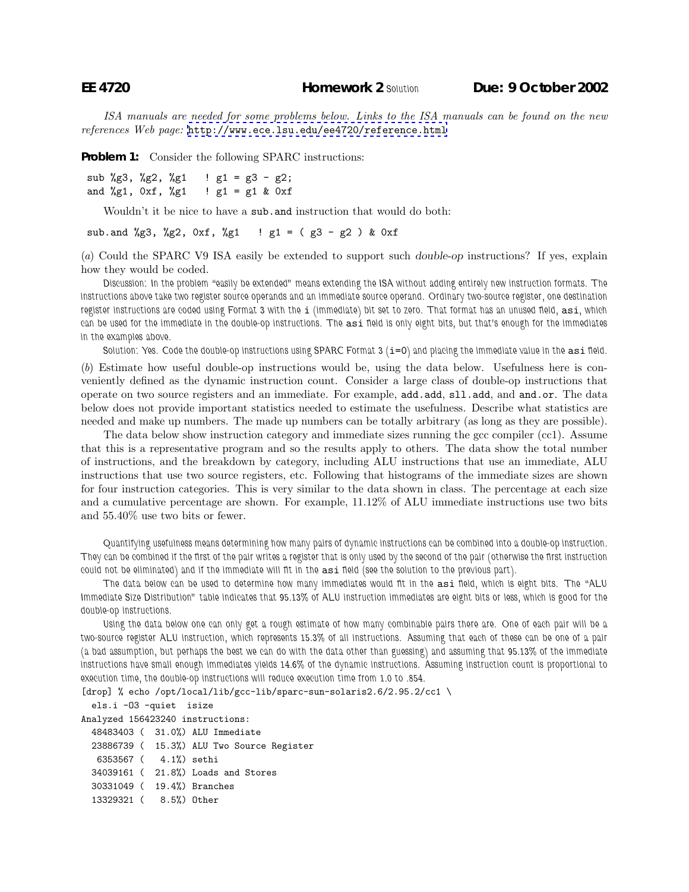*ISA manuals are needed for some problems below. Links to the ISA manuals can be found on the new references Web page:* <http://www.ece.lsu.edu/ee4720/reference.html>

**Problem 1:** Consider the following SPARC instructions:

```
sub %g3, %g2, %g1 : g1 = g3 - g2;
and \sqrt[6]{g1}, 0xf, \sqrt[6]{g1} ! g1 = g1 & 0xf
```
Wouldn't it be nice to have a sub.and instruction that would do both:

sub.and %g3, %g2, 0xf, %g1 ! g1 = (g3 - g2) & 0xf

(*a*) Could the SPARC V9 ISA easily be extended to support such *double-op* instructions? If yes, explain how they would be coded.

*Discussion: In the problem "easily be extended" means extending the ISA without adding entirely new instruction formats. The instructions above take two register source operands and an immediate source operand. Ordinary two-source register, one destination register instructions are coded using Format 3 with the* i *(immediate) bit set to zero. That format has an unused field,* asi*, which can be used for the immediate in the double-op instructions. The* asi *field is only eight bits, but that's enough for the immediates in the examples above.*

*Solution: Yes. Code the double-op instructions using SPARC Format 3 (*i=0*) and placing the immediate value in the* asi *field.*

(*b*) Estimate how useful double-op instructions would be, using the data below. Usefulness here is conveniently defined as the dynamic instruction count. Consider a large class of double-op instructions that operate on two source registers and an immediate. For example, add.add, sll.add, and and.or. The data below does not provide important statistics needed to estimate the usefulness. Describe what statistics are needed and make up numbers. The made up numbers can be totally arbitrary (as long as they are possible).

The data below show instruction category and immediate sizes running the gcc compiler (cc1). Assume that this is a representative program and so the results apply to others. The data show the total number of instructions, and the breakdown by category, including ALU instructions that use an immediate, ALU instructions that use two source registers, etc. Following that histograms of the immediate sizes are shown for four instruction categories. This is very similar to the data shown in class. The percentage at each size and a cumulative percentage are shown. For example, 11.12% of ALU immediate instructions use two bits and 55.40% use two bits or fewer.

*Quantifying usefulness means determining how many pairs of dynamic instructions can be combined into a double-op instruction. They can be combined if the first of the pair writes a register that is only used by the second of the pair (otherwise the first instruction could not be eliminated) and if the immediate will fit in the* asi *field (see the solution to the previous part).*

*The data below can be used to determine how many immediates would fit in the* asi *field, which is eight bits. The "ALU Immediate Size Distribution" table indicates that 95.13% of ALU instruction immediates are eight bits or less, which is good for the double-op instructions.*

*Using the data below one can only get a rough estimate of how many combinable pairs there are. One of each pair will be a two-source register ALU instruction, which represents 15.3% of all instructions. Assuming that each of these can be one of a pair (a bad assumption, but perhaps the best we can do with the data other than guessing) and assuming that 95.13% of the immediate instructions have small enough immediates yields 14.6% of the dynamic instructions. Assuming instruction count is proportional to execution time, the double-op instructions will reduce execution time from 1.0 to .854.*

[drop] % echo /opt/local/lib/gcc-lib/sparc-sun-solaris2.6/2.95.2/cc1 \

els.i -O3 -quiet isize Analyzed 156423240 instructions:

|                            |  | 48483403 (31.0%) ALU Immediate            |
|----------------------------|--|-------------------------------------------|
|                            |  | 23886739 ( 15.3%) ALU Two Source Register |
| 6353567 (4.1%) sethi       |  |                                           |
|                            |  | 34039161 (21.8%) Loads and Stores         |
| 30331049 ( 19.4%) Branches |  |                                           |
| 13329321 ( 8.5%) Other     |  |                                           |
|                            |  |                                           |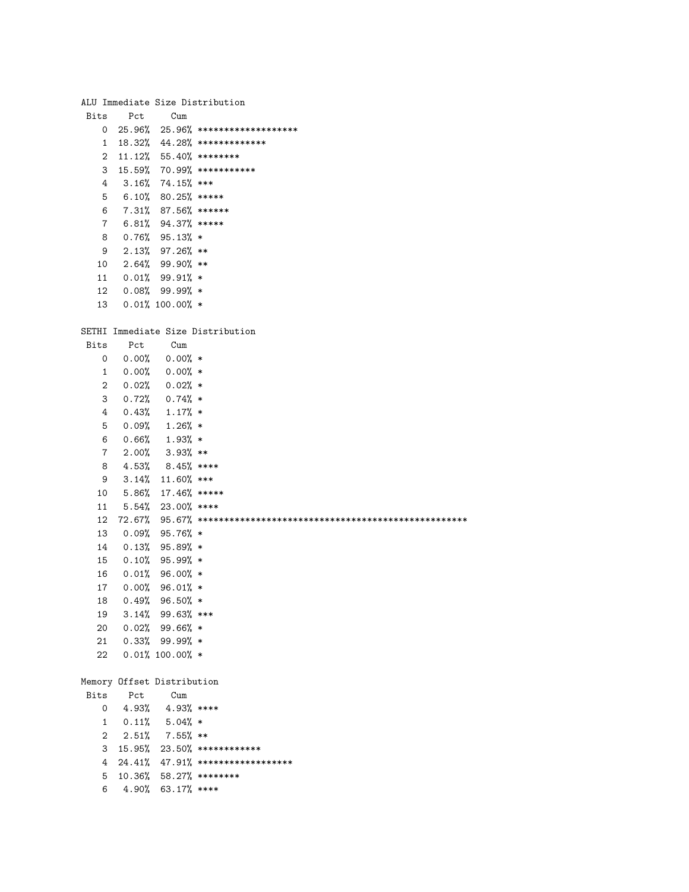|                 |       |                            | ALU Immediate Size Distribution       |
|-----------------|-------|----------------------------|---------------------------------------|
| Bits            | Pct   | Cum                        |                                       |
| 0               |       |                            | $25.96\%$ 25.96% ******************** |
| $\mathbf{1}$    |       |                            | $18.32\%$ 44.28% **************       |
| $\overline{2}$  |       |                            | $11.12\%$ 55.40% ********             |
| 3               |       |                            | 15.59% 70.99% ***********             |
| 4               |       | $3.16\%$ 74.15% ***        |                                       |
| 5               |       | $6.10\%$ 80.25% *****      |                                       |
| 6               |       | 7.31% 87.56% ******        |                                       |
| $7\overline{ }$ |       | $6.81\%$ 94.37% *****      |                                       |
| 8               |       | $0.76%$ 95.13% *           |                                       |
|                 |       |                            |                                       |
| 9               |       | $2.13\%$ 97.26 $\%$ **     |                                       |
| 10              |       | $2.64\%$ 99.90% **         |                                       |
| 11              |       | $0.01\%$ 99.91% *          |                                       |
| 12              |       | $0.08\%$ 99.99 $\%$ *      |                                       |
| 13              |       | $0.01\%$ 100.00% *         |                                       |
|                 |       |                            |                                       |
|                 |       |                            | SETHI Immediate Size Distribution     |
| Bits            | Pct   | Cum                        |                                       |
| 0               |       | $0.00\%$ 0.00% *           |                                       |
| $1 \quad$       |       | $0.00\%$ 0.00% *           |                                       |
| 2               |       | $0.02\%$ 0.02% *           |                                       |
| 3               |       | $0.72\%$ 0.74% *           |                                       |
| 4               |       | $0.43\%$ 1.17% *           |                                       |
| 5               |       | $0.09%$ 1.26% *            |                                       |
| 6               |       | $0.66\%$ 1.93% *           |                                       |
| $7\degree$      |       | $2.00\%$ 3.93% **          |                                       |
|                 |       |                            |                                       |
| 8               |       | 4.53% 8.45% ****           |                                       |
| 9               |       | $3.14\%$ 11.60% ***        |                                       |
| 10              |       | 5.86% 17.46% *****         |                                       |
| 11              |       | $5.54\%$ 23.00% ****       |                                       |
| 12              |       |                            |                                       |
| 13              |       | $0.09%$ 95.76% *           |                                       |
| 14              |       | $0.13\%$ 95.89% *          |                                       |
| 15              |       | $0.10\%$ 95.99% *          |                                       |
| 16              |       | $0.01\%$ 96.00% *          |                                       |
| 17              |       | $0.00\%$ 96.01% *          |                                       |
| 18              |       | $0.49%$ 96.50% *           |                                       |
| 19              |       | 3.14% 99.63% ***           |                                       |
| 20              |       | $0.02%$ 99.66% *           |                                       |
| 21              |       | $0.33\%$ 99.99% *          |                                       |
| 22              |       | $0.01\%$ 100.00% *         |                                       |
|                 |       |                            |                                       |
|                 |       | Memory Offset Distribution |                                       |
| Bits            | Pct   | Cum                        |                                       |
| 0               | 4.93% | $4.93%$ ****               |                                       |
| 1               |       | $0.11\%$ 5.04% *           |                                       |
| 2               |       | $2.51\%$ 7.55% **          |                                       |
| 3               |       |                            | 15.95% 23.50% *************           |
|                 |       |                            |                                       |
| 4               |       |                            | 24.41% 47.91% ********************    |
| 5               |       |                            | 10.36% 58.27% ********                |
| 6               |       | 4.90% 63.17% ****          |                                       |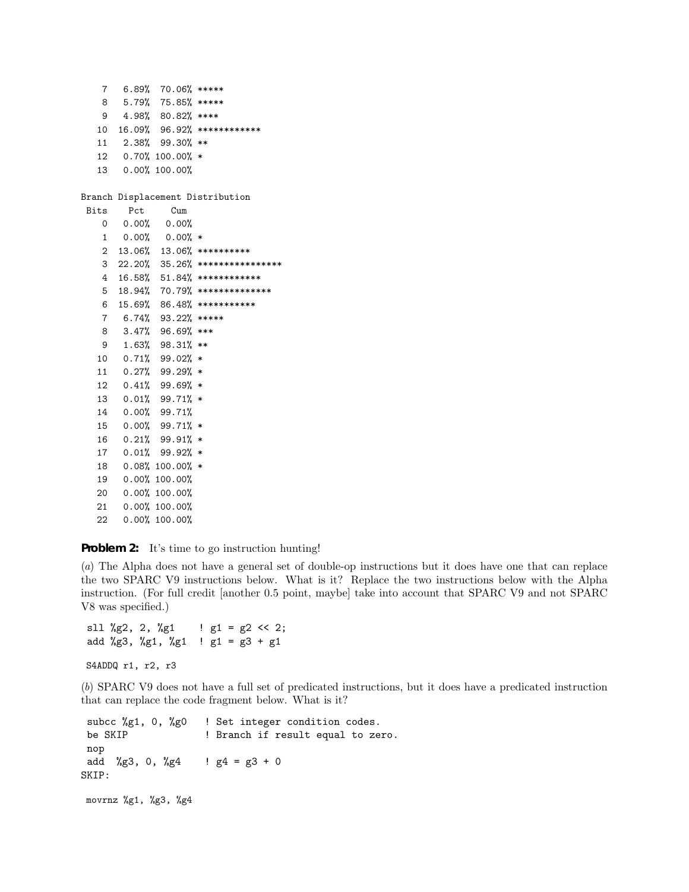| 7            |       | 6.89% 70.06% *****                |                                   |
|--------------|-------|-----------------------------------|-----------------------------------|
| 8            |       | 5.79% 75.85% *****                |                                   |
|              |       | $9$ 4.98% 80.82% ****             |                                   |
|              |       |                                   | 10 16.09% 96.92% *************    |
| 11           |       | 2.38% 99.30% **                   |                                   |
|              |       | 12 0.70% 100.00% *                |                                   |
| 13           |       | $0.00\%$ 100.00%                  |                                   |
|              |       |                                   |                                   |
|              |       |                                   | Branch Displacement Distribution  |
| Bits         | Pct   | $_{\text{Cum}}$                   |                                   |
| 0            |       | $0.00\%$ 0.00%                    |                                   |
| 1            |       | $0.00\%$ 0.00% *                  |                                   |
| $\mathbf{2}$ |       |                                   | 13.06% 13.06% **********          |
|              |       |                                   | 3 22.20% 35.26% ***************** |
|              |       |                                   | 4 16.58% 51.84% *************     |
| 5            |       |                                   | 18.94% 70.79% ***************     |
| 6            |       |                                   | 15.69% 86.48% ***********         |
| $7^{\circ}$  |       | $6.74\%$ 93.22% *****             |                                   |
| 8            |       | 3.47% 96.69% ***                  |                                   |
|              |       | 9 1.63% 98.31% **                 |                                   |
|              |       | 10  0.71%  99.02%  *              |                                   |
| 11           |       | $0.27\%$ 99.29% $*$               |                                   |
|              |       | 12  0.41%  99.69% *               |                                   |
|              |       | $13 \quad 0.01\% \quad 99.71\% *$ |                                   |
|              |       | 14  0.00%  99.71%                 |                                   |
| 15           |       | $0.00\%$ 99.71% *                 |                                   |
|              |       | 16  0.21%  99.91%  *              |                                   |
| 17           |       | $0.01\%$ 99.92% *                 |                                   |
| 18           |       | $0.08\%$ 100.00% $*$              |                                   |
|              |       | 19 0.00% 100.00%                  |                                   |
|              |       | 20 0.00% 100.00%                  |                                   |
| 21           |       | $0.00\%$ 100.00%                  |                                   |
| 22           | 0.00% | 100.00%                           |                                   |

## **Problem 2:** It's time to go instruction hunting!

(*a*) The Alpha does not have a general set of double-op instructions but it does have one that can replace the two SPARC V9 instructions below. What is it? Replace the two instructions below with the Alpha instruction. (For full credit [another 0.5 point, maybe] take into account that SPARC V9 and not SPARC V8 was specified.)

```
sll %g2, 2, %g1 : \lg 1 = \lg 2 \ll 2;
add %g3, %g1, %g1 ! g1 = g3 + g1
```

```
S4ADDQ r1, r2, r3
```
(*b*) SPARC V9 does not have a full set of predicated instructions, but it does have a predicated instruction that can replace the code fragment below. What is it?

subcc %g1, 0, %g0 ! Set integer condition codes. be SKIP ! Branch if result equal to zero. nop add %g3, 0, %g4 !  $g4 = g3 + 0$ SKIP: movrnz %g1, %g3, %g4